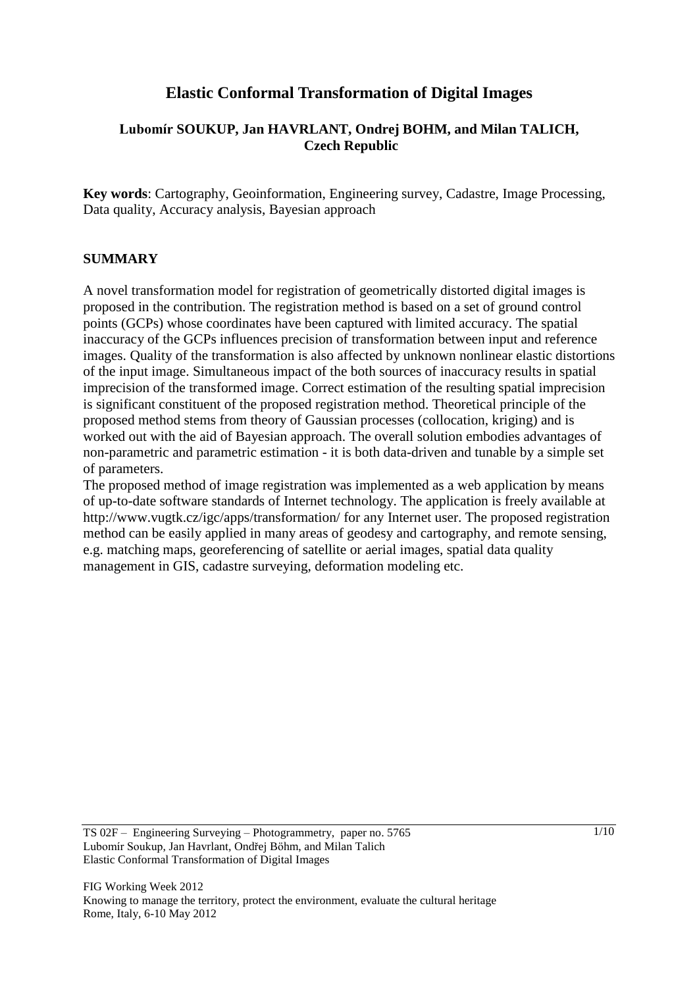# **Elastic Conformal Transformation of Digital Images**

# **Lubomír SOUKUP, Jan HAVRLANT, Ondrej BOHM, and Milan TALICH, Czech Republic**

**Key words**: Cartography, Geoinformation, Engineering survey, Cadastre, Image Processing, Data quality, Accuracy analysis, Bayesian approach

### **SUMMARY**

A novel transformation model for registration of geometrically distorted digital images is proposed in the contribution. The registration method is based on a set of ground control points (GCPs) whose coordinates have been captured with limited accuracy. The spatial inaccuracy of the GCPs influences precision of transformation between input and reference images. Quality of the transformation is also affected by unknown nonlinear elastic distortions of the input image. Simultaneous impact of the both sources of inaccuracy results in spatial imprecision of the transformed image. Correct estimation of the resulting spatial imprecision is significant constituent of the proposed registration method. Theoretical principle of the proposed method stems from theory of Gaussian processes (collocation, kriging) and is worked out with the aid of Bayesian approach. The overall solution embodies advantages of non-parametric and parametric estimation - it is both data-driven and tunable by a simple set of parameters.

The proposed method of image registration was implemented as a web application by means of up-to-date software standards of Internet technology. The application is freely available at http://www.vugtk.cz/igc/apps/transformation/ for any Internet user. The proposed registration method can be easily applied in many areas of geodesy and cartography, and remote sensing, e.g. matching maps, georeferencing of satellite or aerial images, spatial data quality management in GIS, cadastre surveying, deformation modeling etc.

TS 02F – Engineering Surveying – Photogrammetry, paper no. 5765 Lubomír Soukup, Jan Havrlant, Ondřej Böhm, and Milan Talich Elastic Conformal Transformation of Digital Images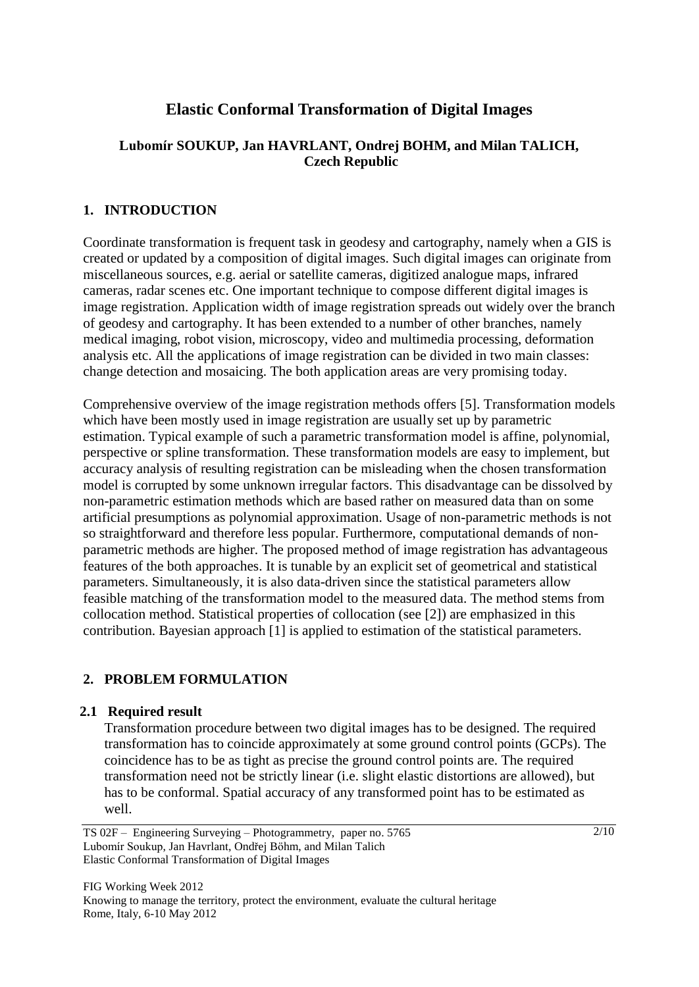# **Elastic Conformal Transformation of Digital Images**

# **Lubomír SOUKUP, Jan HAVRLANT, Ondrej BOHM, and Milan TALICH, Czech Republic**

# **1. INTRODUCTION**

Coordinate transformation is frequent task in geodesy and cartography, namely when a GIS is created or updated by a composition of digital images. Such digital images can originate from miscellaneous sources, e.g. aerial or satellite cameras, digitized analogue maps, infrared cameras, radar scenes etc. One important technique to compose different digital images is image registration. Application width of image registration spreads out widely over the branch of geodesy and cartography. It has been extended to a number of other branches, namely medical imaging, robot vision, microscopy, video and multimedia processing, deformation analysis etc. All the applications of image registration can be divided in two main classes: change detection and mosaicing. The both application areas are very promising today.

Comprehensive overview of the image registration methods offers [5]. Transformation models which have been mostly used in image registration are usually set up by parametric estimation. Typical example of such a parametric transformation model is affine, polynomial, perspective or spline transformation. These transformation models are easy to implement, but accuracy analysis of resulting registration can be misleading when the chosen transformation model is corrupted by some unknown irregular factors. This disadvantage can be dissolved by non-parametric estimation methods which are based rather on measured data than on some artificial presumptions as polynomial approximation. Usage of non-parametric methods is not so straightforward and therefore less popular. Furthermore, computational demands of nonparametric methods are higher. The proposed method of image registration has advantageous features of the both approaches. It is tunable by an explicit set of geometrical and statistical parameters. Simultaneously, it is also data-driven since the statistical parameters allow feasible matching of the transformation model to the measured data. The method stems from collocation method. Statistical properties of collocation (see [2]) are emphasized in this contribution. Bayesian approach [1] is applied to estimation of the statistical parameters.

# **2. PROBLEM FORMULATION**

#### **2.1 Required result**

Transformation procedure between two digital images has to be designed. The required transformation has to coincide approximately at some ground control points (GCPs). The coincidence has to be as tight as precise the ground control points are. The required transformation need not be strictly linear (i.e. slight elastic distortions are allowed), but has to be conformal. Spatial accuracy of any transformed point has to be estimated as well.

FIG Working Week 2012 Knowing to manage the territory, protect the environment, evaluate the cultural heritage Rome, Italy, 6-10 May 2012

TS 02F – Engineering Surveying – Photogrammetry, paper no. 5765 Lubomír Soukup, Jan Havrlant, Ondřej Böhm, and Milan Talich Elastic Conformal Transformation of Digital Images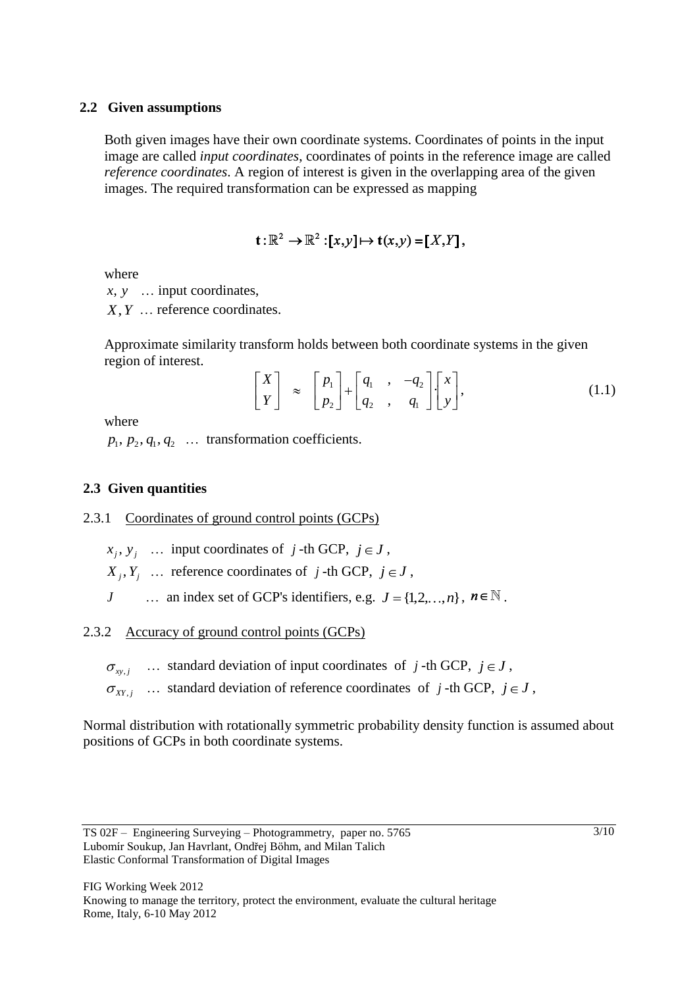#### **2.2 Given assumptions**

Both given images have their own coordinate systems. Coordinates of points in the input image are called *input coordinates*, coordinates of points in the reference image are called *reference coordinates*. A region of interest is given in the overlapping area of the given images. The required transformation can be expressed as mapping

$$
\mathbf{t}:\mathbb{R}^2\to\mathbb{R}^2:[x,y]\mapsto\mathbf{t}(x,y)=[X,Y],
$$

where

*x*, *y* ... input coordinates,

*X*, *Y* ... reference coordinates.

Approximate similarity transform holds between both coordinate systems in the given region of interest.

$$
\begin{bmatrix} X \\ Y \end{bmatrix} \approx \begin{bmatrix} p_1 \\ p_2 \end{bmatrix} + \begin{bmatrix} q_1 & , & -q_2 \\ q_2 & , & q_1 \end{bmatrix} \begin{bmatrix} x \\ y \end{bmatrix},
$$
(1.1)

where

 $p_1, p_2, q_1, q_2 \dots$  transformation coefficients.

## **2.3 Given quantities**

2.3.1 Coordinates of ground control points (GCPs)

- $x_j, y_j$  ... input coordinates of j-th GCP,  $j \in J$ ,
- $X_j, Y_j$  ... reference coordinates of j-th GCP,  $j \in J$ ,
- *J* ... an index set of GCP's identifiers, e.g.  $J = \{1, 2, ..., n\}$ ,  $n \in \mathbb{N}$ .

2.3.2 Accuracy of ground control points (GCPs)

 $\mu_{xy,j}$  ... standard deviation of input coordinates of *j*-th GCP,  $j \in J$ ,

 $X_{XY, j}$  ... standard deviation of reference coordinates of j-th GCP,  $j \in J$ ,

Normal distribution with rotationally symmetric probability density function is assumed about positions of GCPs in both coordinate systems.

TS 02F – Engineering Surveying – Photogrammetry, paper no. 5765 Lubomír Soukup, Jan Havrlant, Ondřej Böhm, and Milan Talich Elastic Conformal Transformation of Digital Images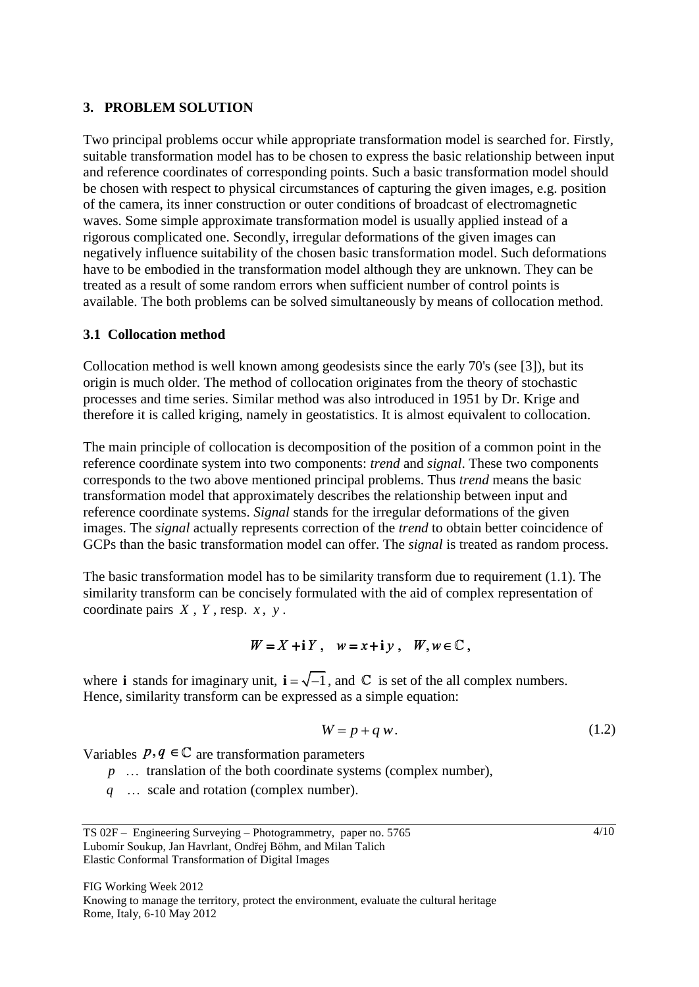#### **3. PROBLEM SOLUTION**

Two principal problems occur while appropriate transformation model is searched for. Firstly, suitable transformation model has to be chosen to express the basic relationship between input and reference coordinates of corresponding points. Such a basic transformation model should be chosen with respect to physical circumstances of capturing the given images, e.g. position of the camera, its inner construction or outer conditions of broadcast of electromagnetic waves. Some simple approximate transformation model is usually applied instead of a rigorous complicated one. Secondly, irregular deformations of the given images can negatively influence suitability of the chosen basic transformation model. Such deformations have to be embodied in the transformation model although they are unknown. They can be treated as a result of some random errors when sufficient number of control points is available. The both problems can be solved simultaneously by means of collocation method.

### **3.1 Collocation method**

Collocation method is well known among geodesists since the early 70's (see [3]), but its origin is much older. The method of collocation originates from the theory of stochastic processes and time series. Similar method was also introduced in 1951 by Dr. Krige and therefore it is called kriging, namely in geostatistics. It is almost equivalent to collocation.

The main principle of collocation is decomposition of the position of a common point in the reference coordinate system into two components: *trend* and *signal*. These two components corresponds to the two above mentioned principal problems. Thus *trend* means the basic transformation model that approximately describes the relationship between input and reference coordinate systems. *Signal* stands for the irregular deformations of the given images. The *signal* actually represents correction of the *trend* to obtain better coincidence of GCPs than the basic transformation model can offer. The *signal* is treated as random process.

The basic transformation model has to be similarity transform due to requirement (1.1). The similarity transform can be concisely formulated with the aid of complex representation of coordinate pairs *X* , *Y* , resp. *x* , *y* .

# $W = X + iY$ ,  $w = x + i y$ ,  $W, w \in \mathbb{C}$ ,

where **i** stands for imaginary unit,  $\mathbf{i} = \sqrt{-1}$ , and  $\mathbb{C}$  is set of the all complex numbers. Hence, similarity transform can be expressed as a simple equation:

$$
W = p + q w. \tag{1.2}
$$

Variables  $p, q \in \mathbb{C}$  are transformation parameters

- *p* ... translation of the both coordinate systems (complex number),
- *q* … scale and rotation (complex number).

TS 02F – Engineering Surveying – Photogrammetry, paper no. 5765 Lubomír Soukup, Jan Havrlant, Ondřej Böhm, and Milan Talich Elastic Conformal Transformation of Digital Images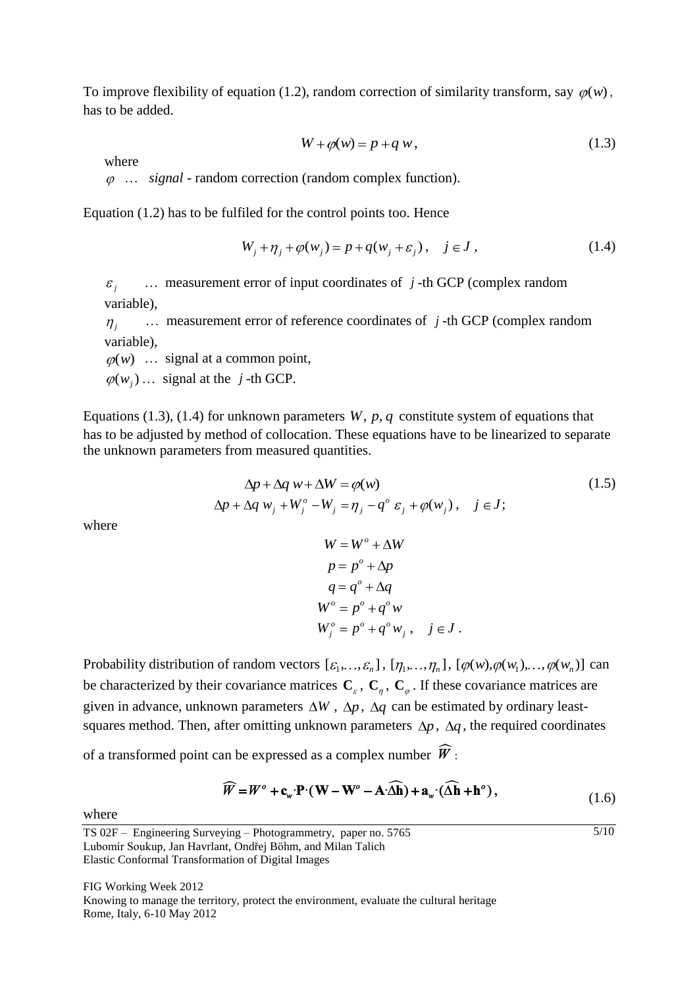To improve flexibility of equation (1.2), random correction of similarity transform, say  $\varphi(w)$ , has to be added.

$$
W + \varphi(w) = p + q w, \qquad (1.3)
$$

where

… *signal* - random correction (random complex function).

Equation (1.2) has to be fulfiled for the control points too. Hence

$$
W_j + \eta_j + \varphi(w_j) = p + q(w_j + \varepsilon_j), \quad j \in J, \tag{1.4}
$$

*j* … measurement error of input coordinates of *j* -th GCP (complex random variable),

 $\eta_i$  … measurement error of reference coordinates of *j* -th GCP (complex random variable),

 $\varphi(w)$  ... signal at a common point,

 $(w_j) \dots$  signal at the *j*-th GCP.

Equations (1.3), (1.4) for unknown parameters  $W$ ,  $p$ ,  $q$  constitute system of equations that has to be adjusted by method of collocation. These equations have to be linearized to separate the unknown parameters from measured quantities.

$$
\Delta p + \Delta q w + \Delta W = \varphi(w)
$$
  
\n
$$
\Delta p + \Delta q w_j + W_j^o - W_j = \eta_j - q^o \varepsilon_j + \varphi(w_j), \quad j \in J;
$$
\n(1.5)

where

$$
W = Wo + \Delta W
$$
  
\n
$$
p = po + \Delta p
$$
  
\n
$$
q = qo + \Delta q
$$
  
\n
$$
Wo = po + qo w
$$
  
\n
$$
Woj = po + qo wj, j \in J.
$$

Probability distribution of random vectors  $[\varepsilon_1, ..., \varepsilon_n]$ ,  $[\eta_1, ..., \eta_n]$ ,  $[\varphi(w), \varphi(w_1), ..., \varphi(w_n)]$  can be characterized by their covariance matrices  $C_0$ ,  $C_n$ ,  $C_a$ . If these covariance matrices are given in advance, unknown parameters  $\Delta W$ ,  $\Delta p$ ,  $\Delta q$  can be estimated by ordinary leastsquares method. Then, after omitting unknown parameters  $\Delta p$ ,  $\Delta q$ , the required coordinates

of a transformed point can be expressed as a complex number  $\hat{\mathbf{\mathcal{W}}}$ :

$$
\widehat{W} = W^o + \mathbf{c}_{\mathbf{w}} \cdot \mathbf{P} \cdot (\mathbf{W} - \mathbf{W}^o - \mathbf{A} \cdot \widehat{\Delta \mathbf{h}}) + \mathbf{a}_{\mathbf{w}} \cdot (\widehat{\Delta \mathbf{h}} + \mathbf{h}^o),
$$
\n(1.6)

 $\frac{5}{10}$ 

where

FIG Working Week 2012 Knowing to manage the territory, protect the environment, evaluate the cultural heritage Rome, Italy, 6-10 May 2012

TS 02F – Engineering Surveying – Photogrammetry, paper no. 5765 Lubomír Soukup, Jan Havrlant, Ondřej Böhm, and Milan Talich Elastic Conformal Transformation of Digital Images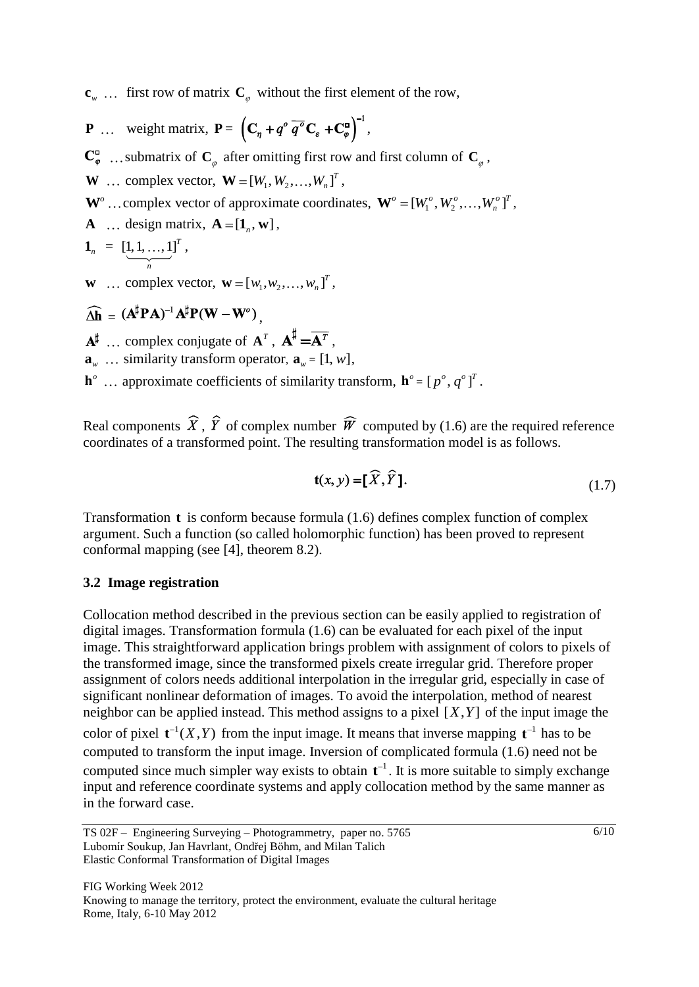${\bf c}_{w}$  ... first row of matrix  ${\bf C}_{\varphi}$  without the first element of the row,

- **P** ... weight matrix,  $P = (C_n + q^{\circ} q^{\circ} C_s + C_{\varphi}^{\circ})$ ,
- submatrix of  $\mathbf{C}_\rho$  after omitting first row and first column of  $\mathbf{C}_\rho$ ,
- **W** ... complex vector,  $\mathbf{W} = [W_1, W_2, \dots, W_n]^T$ ,
- $\mathbf{W}^o$  ... complex vector of approximate coordinates,  $\mathbf{W}^o = [W_1^o, W_2^o, ..., W_n^o]^T$ ,
- **A** ... design matrix,  $\mathbf{A} = [\mathbf{1}_n, \mathbf{w}]$ ,

$$
\mathbf{1}_n = \left[\underbrace{1,1,\ldots,1}_{n}\right]^T,
$$

**w** ... complex vector,  $\mathbf{w} = [w_1, w_2, \dots, w_n]^T$ ,

# $\widehat{\mathbf{A}}$ **h** =  $(\mathbf{A}^{\sharp} \mathbf{P} \mathbf{A})^{-1} \mathbf{A}^{\sharp} \mathbf{P} (\mathbf{W} - \mathbf{W}^{\circ})$

- complex conjugate of  $A^T$ ,  $A^T = A^T$ ,
- $\mathbf{a}_w$  ... similarity transform operator,  $\mathbf{a}_w = [1, w]$ ,
- $\mathbf{h}^{\circ}$  ... approximate coefficients of similarity transform,  $\mathbf{h}^{\circ} = [p^{\circ}, q^{\circ}]^{T}$ .

Real components  $\hat{X}$ ,  $\hat{Y}$  of complex number  $\hat{W}$  computed by (1.6) are the required reference coordinates of a transformed point. The resulting transformation model is as follows.

$$
\mathbf{t}(x, y) = [\widehat{X}, \widehat{Y}]. \tag{1.7}
$$

Transformation **t** is conform because formula (1.6) defines complex function of complex argument. Such a function (so called holomorphic function) has been proved to represent conformal mapping (see [4], theorem 8.2).

#### **3.2 Image registration**

Collocation method described in the previous section can be easily applied to registration of digital images. Transformation formula (1.6) can be evaluated for each pixel of the input image. This straightforward application brings problem with assignment of colors to pixels of the transformed image, since the transformed pixels create irregular grid. Therefore proper assignment of colors needs additional interpolation in the irregular grid, especially in case of significant nonlinear deformation of images. To avoid the interpolation, method of nearest neighbor can be applied instead. This method assigns to a pixel  $[X, Y]$  of the input image the color of pixel  $t^{-1}(X, Y)$  from the input image. It means that inverse mapping  $t^{-1}$  has to be computed to transform the input image. Inversion of complicated formula (1.6) need not be computed since much simpler way exists to obtain  $t^{-1}$ . It is more suitable to simply exchange input and reference coordinate systems and apply collocation method by the same manner as in the forward case.

TS 02F – Engineering Surveying – Photogrammetry, paper no. 5765 Lubomír Soukup, Jan Havrlant, Ondřej Böhm, and Milan Talich Elastic Conformal Transformation of Digital Images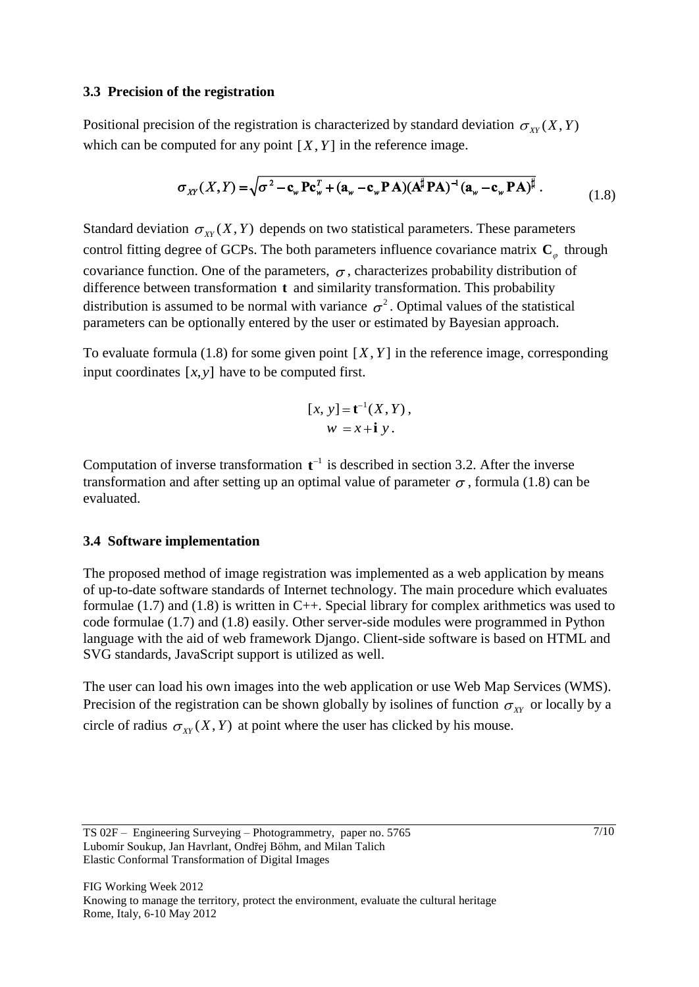## **3.3 Precision of the registration**

Positional precision of the registration is characterized by standard deviation  $\sigma_{XY}(X, Y)$ which can be computed for any point  $[X, Y]$  in the reference image.

$$
\sigma_{XY}(X,Y) = \sqrt{\sigma^2 - \mathbf{c}_{w} \mathbf{P} \mathbf{c}_{w}^T + (\mathbf{a}_{w} - \mathbf{c}_{w} \mathbf{P} \mathbf{A})(\mathbf{A}^{\sharp} \mathbf{P} \mathbf{A})^{-1} (\mathbf{a}_{w} - \mathbf{c}_{w} \mathbf{P} \mathbf{A})^{\sharp}}.
$$
\n(1.8)

Standard deviation  $\sigma_{XY}(X, Y)$  depends on two statistical parameters. These parameters control fitting degree of GCPs. The both parameters influence covariance matrix  $C_{\alpha}$  through covariance function. One of the parameters,  $\sigma$ , characterizes probability distribution of difference between transformation **t** and similarity transformation. This probability distribution is assumed to be normal with variance  $\sigma^2$ . Optimal values of the statistical parameters can be optionally entered by the user or estimated by Bayesian approach.

To evaluate formula  $(1.8)$  for some given point  $[X, Y]$  in the reference image, corresponding input coordinates  $[x, y]$  have to be computed first.

$$
[x, y] = \mathbf{t}^{-1}(X, Y),
$$
  

$$
w = x + \mathbf{i} y.
$$

Computation of inverse transformation  $t^{-1}$  is described in section 3.2. After the inverse transformation and after setting up an optimal value of parameter  $\sigma$ , formula (1.8) can be evaluated.

# **3.4 Software implementation**

The proposed method of image registration was implemented as a web application by means of up-to-date software standards of Internet technology. The main procedure which evaluates formulae (1.7) and (1.8) is written in C++. Special library for complex arithmetics was used to code formulae (1.7) and (1.8) easily. Other server-side modules were programmed in Python language with the aid of web framework Django. Client-side software is based on HTML and SVG standards, JavaScript support is utilized as well.

The user can load his own images into the web application or use Web Map Services (WMS). Precision of the registration can be shown globally by isolines of function  $\sigma_{XY}$  or locally by a circle of radius  $\sigma_{XY}(X, Y)$  at point where the user has clicked by his mouse.

TS 02F – Engineering Surveying – Photogrammetry, paper no. 5765 Lubomír Soukup, Jan Havrlant, Ondřej Böhm, and Milan Talich Elastic Conformal Transformation of Digital Images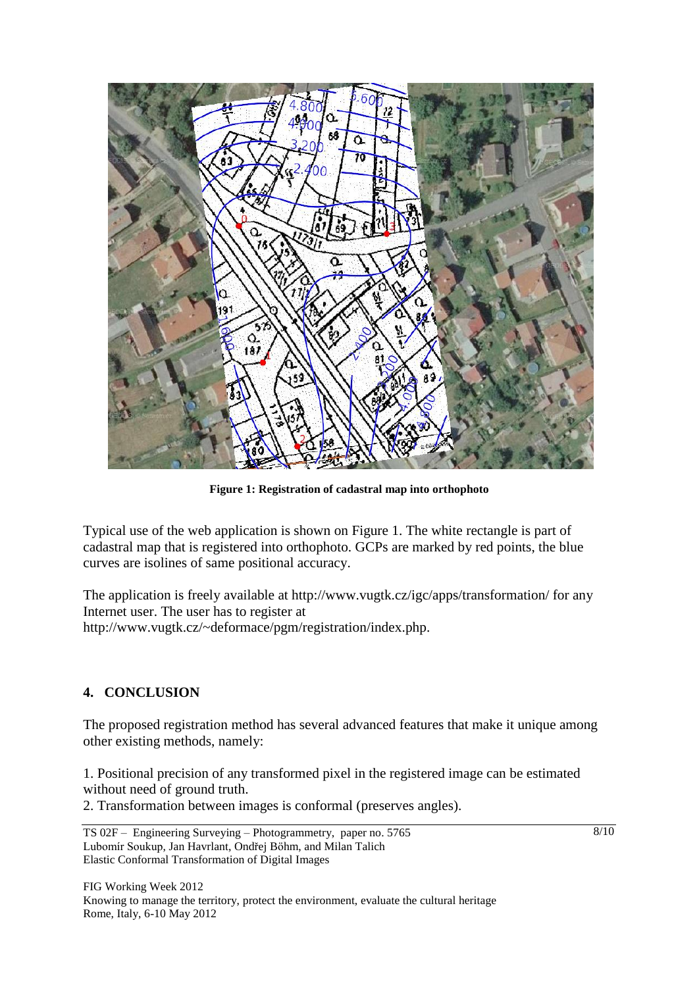

**Figure 1: Registration of cadastral map into orthophoto**

Typical use of the web application is shown on Figure 1. The white rectangle is part of cadastral map that is registered into orthophoto. GCPs are marked by red points, the blue curves are isolines of same positional accuracy.

The application is freely available at http://www.vugtk.cz/igc/apps/transformation/ for any Internet user. The user has to register at http://www.vugtk.cz/~deformace/pgm/registration/index.php.

# **4. CONCLUSION**

The proposed registration method has several advanced features that make it unique among other existing methods, namely:

1. Positional precision of any transformed pixel in the registered image can be estimated without need of ground truth.

2. Transformation between images is conformal (preserves angles).

 $8/10$ 

FIG Working Week 2012 Knowing to manage the territory, protect the environment, evaluate the cultural heritage Rome, Italy, 6-10 May 2012

TS 02F – Engineering Surveying – Photogrammetry, paper no. 5765 Lubomír Soukup, Jan Havrlant, Ondřej Böhm, and Milan Talich Elastic Conformal Transformation of Digital Images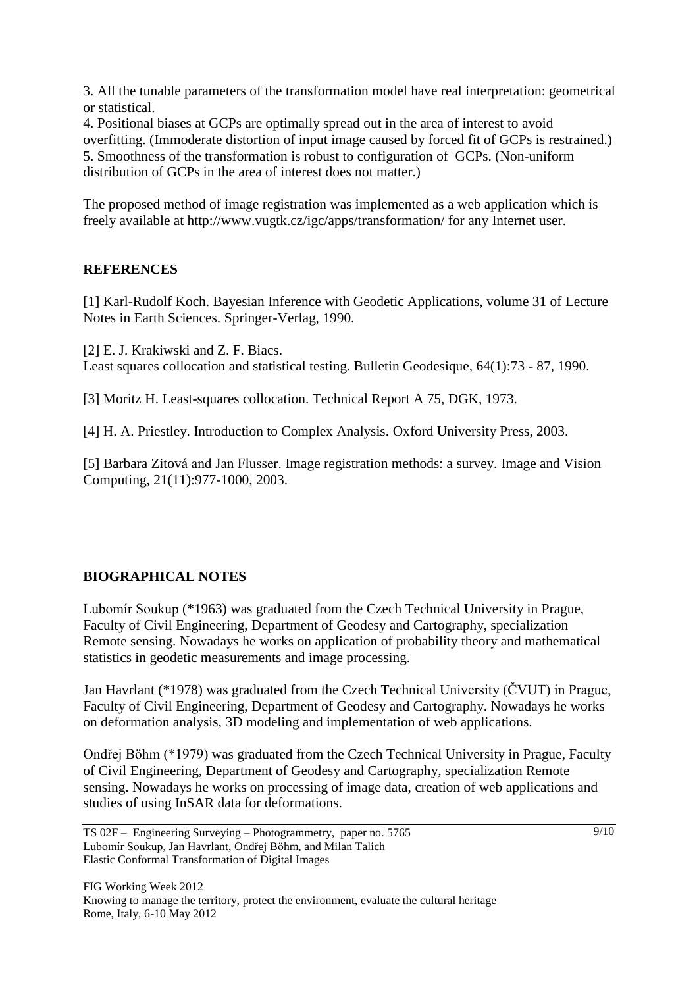3. All the tunable parameters of the transformation model have real interpretation: geometrical or statistical.

4. Positional biases at GCPs are optimally spread out in the area of interest to avoid overfitting. (Immoderate distortion of input image caused by forced fit of GCPs is restrained.) 5. Smoothness of the transformation is robust to configuration of GCPs. (Non-uniform distribution of GCPs in the area of interest does not matter.)

The proposed method of image registration was implemented as a web application which is freely available at http://www.vugtk.cz/igc/apps/transformation/ for any Internet user.

# **REFERENCES**

[1] Karl-Rudolf Koch. Bayesian Inference with Geodetic Applications, volume 31 of Lecture Notes in Earth Sciences. Springer-Verlag, 1990.

[2] E. J. Krakiwski and Z. F. Biacs.

Least squares collocation and statistical testing. Bulletin Geodesique, 64(1):73 - 87, 1990.

[3] Moritz H. Least-squares collocation. Technical Report A 75, DGK, 1973.

[4] H. A. Priestley. Introduction to Complex Analysis. Oxford University Press, 2003.

[5] Barbara Zitová and Jan Flusser. Image registration methods: a survey. Image and Vision Computing, 21(11):977-1000, 2003.

# **BIOGRAPHICAL NOTES**

Lubomír Soukup (\*1963) was graduated from the Czech Technical University in Prague, Faculty of Civil Engineering, Department of Geodesy and Cartography, specialization Remote sensing. Nowadays he works on application of probability theory and mathematical statistics in geodetic measurements and image processing.

Jan Havrlant (\*1978) was graduated from the Czech Technical University (ČVUT) in Prague, Faculty of Civil Engineering, Department of Geodesy and Cartography. Nowadays he works on deformation analysis, 3D modeling and implementation of web applications.

Ondřej Böhm (\*1979) was graduated from the Czech Technical University in Prague, Faculty of Civil Engineering, Department of Geodesy and Cartography, specialization Remote sensing. Nowadays he works on processing of image data, creation of web applications and studies of using InSAR data for deformations.

TS 02F – Engineering Surveying – Photogrammetry, paper no. 5765 Lubomír Soukup, Jan Havrlant, Ondřej Böhm, and Milan Talich Elastic Conformal Transformation of Digital Images